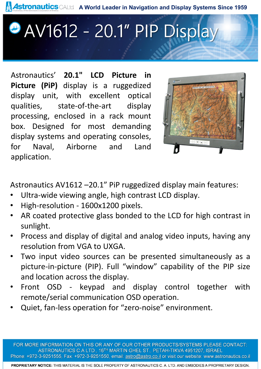Astronautics CALtd A World Leader in Navigation and Display Systems Since 1959

## AV1612 - 20.1" PIP Display

Astronautics' **20.1" LCD Picture in Picture (PiP)** display is a ruggedized display unit, with excellent optical qualities, state-of-the-art display processing, enclosed in a rack mount box. Designed for most demanding display systems and operating consoles, for Naval, Airborne and Land application.



Astronautics AV1612 –20.1" PiP ruggedized display main features:

- Ultra-wide viewing angle, high contrast LCD display.
- High-resolution 1600x1200 pixels.
- AR coated protective glass bonded to the LCD for high contrast in sunlight.
- Process and display of digital and analog video inputs, having any resolution from VGA to UXGA.
- Two input video sources can be presented simultaneously as a picture-in-picture (PIP). Full "window" capability of the PIP size and location across the display.
- Front OSD keypad and display control together with remote/serial communication OSD operation.
- Quiet, fan-less operation for "zero-noise" environment.

FOR MORE INFORMATION ON THIS OR ANY OF OUR OTHER PRODUCTS/SYSTEMS PLEASE CONTACT: ASTRONAUTICS C.A LTD., 16TH MARTIN GHEL ST., PETAH-TIKVA 4951207, ISRAEL Phone: +972-3-9251555, Fax: +972-3-9251550, email: astro@astro.co.il or visit our website: www.astronautics.co.il

PROPRIETARY NOTICE: THIS MATERIAL IS THE SOLE PROPERTY OF ASTRONAUTICS C. A. LTD. AND EMBODIES A PROPRIETARY DESIGN.